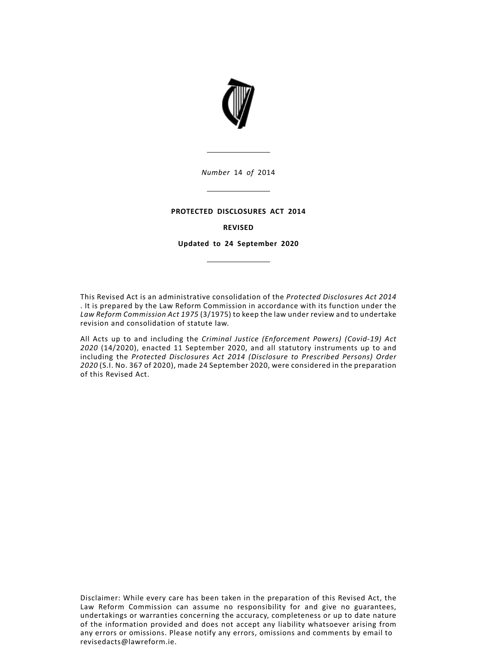

*Number* 14 *of* 2014

### **PROTECTED DISCLOSURES ACT 2014**

### **REVISED**

**Updated to 24 September 2020**

This Revised Act is an administrative consolidation of the *Protected Disclosures Act 2014* . It is prepared by the Law Reform Commission in accordance with its function under the *Law Reform Commission Act 1975* (3/1975) to keep the law under review and to undertake revision and consolidation of statute law.

All Acts up to and including the *Criminal Justice (Enforcement Powers) (Covid-19) Act 2020* (14/2020), enacted 11 September 2020, and all statutory instruments up to and including the *Protected Disclosures Act 2014 (Disclosure to Prescribed Persons) Order 2020* (S.I. No. 367 of 2020), made 24 September 2020, were considered in the preparation of this Revised Act.

Disclaimer: While every care has been taken in the preparation of this Revised Act, the Law Reform Commission can assume no responsibility for and give no guarantees, undertakings or warranties concerning the accuracy, completeness or up to date nature of the information provided and does not accept any liability whatsoever arising from any errors or omissions. Please notify any errors, omissions and comments by email to revisedacts@lawreform.ie.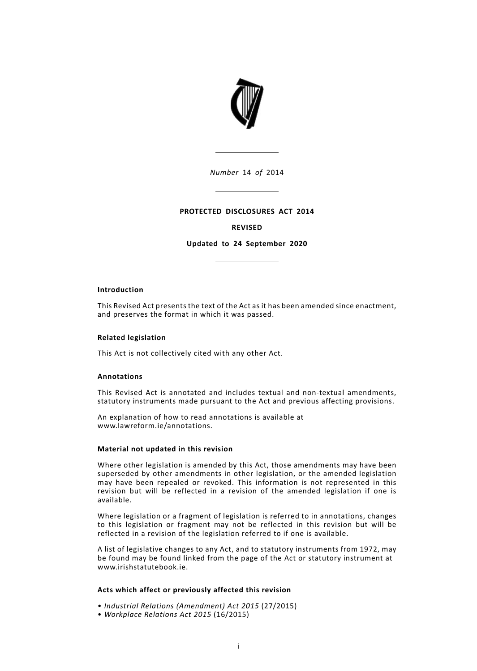

*Number* 14 *of* 2014

### **PROTECTED DISCLOSURES ACT 2014**

## **REVISED**

**Updated to 24 September 2020**

### **Introduction**

This Revised Act presents the text of the Act as it has been amended since enactment, and preserves the format in which it was passed.

### **Related legislation**

This Act is not collectively cited with any other Act.

### **Annotations**

This Revised Act is annotated and includes textual and non-textual amendments, statutory instruments made pursuant to the Act and previous affecting provisions.

An explanation of how to read annotations is available at www.lawreform.ie/annotations.

#### **Material not updated in this revision**

Where other legislation is amended by this Act, those amendments may have been superseded by other amendments in other legislation, or the amended legislation may have been repealed or revoked. This information is not represented in this revision but will be reflected in a revision of the amended legislation if one is available.

Where legislation or a fragment of legislation is referred to in annotations, changes to this legislation or fragment may not be reflected in this revision but will be reflected in a revision of the legislation referred to if one is available.

A list of legislative changes to any Act, and to statutory instruments from 1972, may be found may be found linked from the page of the Act or statutory instrument at www.irishstatutebook.ie.

#### **Acts which affect or previously affected this revision**

- *Industrial Relations (Amendment) Act 2015* (27/2015)
- *Workplace Relations Act 2015* (16/2015)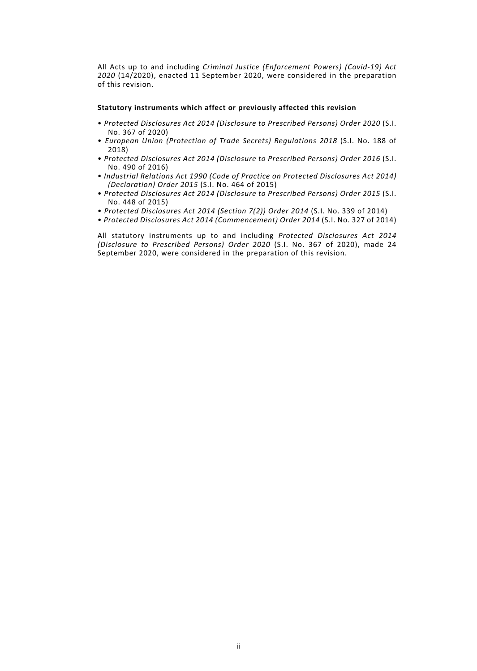All Acts up to and including *Criminal Justice (Enforcement Powers) (Covid-19) Act 2020* (14/2020), enacted 11 September 2020, were considered in the preparation of this revision.

#### **Statutory instruments which affect or previously affected this revision**

- *Protected Disclosures Act 2014 (Disclosure to Prescribed Persons) Order 2020* (S.I. No. 367 of 2020)
- *European Union (Protection of Trade Secrets) Regulations 2018* (S.I. No. 188 of 2018)
- *Protected Disclosures Act 2014 (Disclosure to Prescribed Persons) Order 2016* (S.I. No. 490 of 2016)
- *Industrial Relations Act 1990 (Code of Practice on Protected Disclosures Act 2014) (Declaration) Order 2015* (S.I. No. 464 of 2015)
- *Protected Disclosures Act 2014 (Disclosure to Prescribed Persons) Order 2015* (S.I. No. 448 of 2015)
- *Protected Disclosures Act 2014 (Section 7(2)) Order 2014* (S.I. No. 339 of 2014)
- *Protected Disclosures Act 2014 (Commencement) Order 2014* (S.I. No. 327 of 2014)

All statutory instruments up to and including *Protected Disclosures Act 2014 (Disclosure to Prescribed Persons) Order 2020* (S.I. No. 367 of 2020), made 24 September 2020, were considered in the preparation of this revision.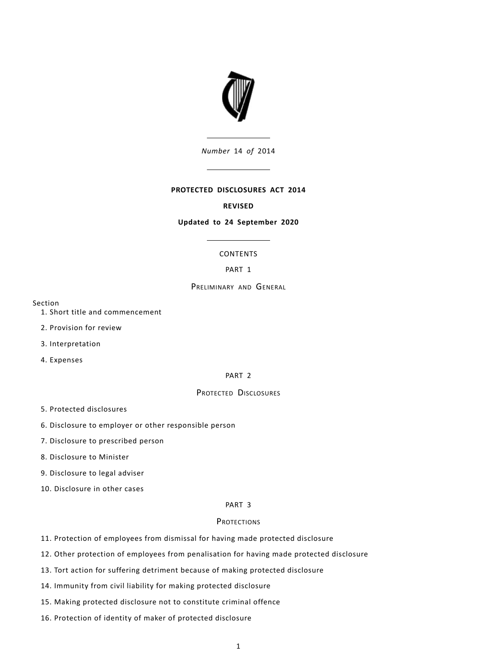

*Number* 14 *of* 2014

### **PROTECTED DISCLOSURES ACT 2014**

### **REVISED**

### **Updated to 24 September 2020**

## CONTENTS

## PART 1

## PRELIMINARY AND GENERAL

Section

- 1. Short title and commencement
- 2. Provision for review
- 3. Interpretation
- 4. Expenses

#### PART 2

## PROTECTED DISCLOSURES

- 5. Protected disclosures
- 6. Disclosure to employer or other responsible person
- 7. Disclosure to prescribed person
- 8. Disclosure to Minister
- 9. Disclosure to legal adviser
- 10. Disclosure in other cases

### PART 3

## **PROTECTIONS**

- 11. Protection of employees from dismissal for having made protected disclosure
- 12. Other protection of employees from penalisation for having made protected disclosure
- 13. Tort action for suffering detriment because of making protected disclosure
- 14. Immunity from civil liability for making protected disclosure
- 15. Making protected disclosure not to constitute criminal offence
- 16. Protection of identity of maker of protected disclosure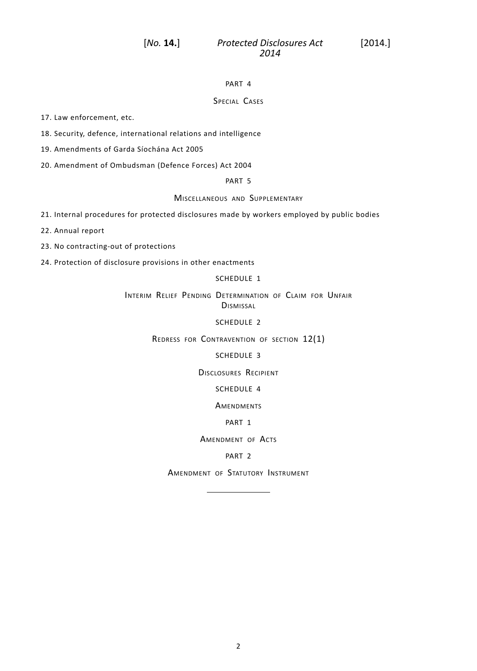## PART 4

## SPECIAL CASES

17. Law enforcement, etc.

18. Security, defence, international relations and intelligence

19. Amendments of Garda Síochána Act 2005

20. Amendment of Ombudsman (Defence Forces) Act 2004

PART 5

MISCELLANEOUS AND SUPPLEMENTARY

21. Internal procedures for protected disclosures made by workers employed by public bodies

22. Annual report

23. No contracting-out of protections

24. Protection of disclosure provisions in other enactments

## [SCHEDULE](#page-23-0) 1

INTERIM RELIEF PENDING DETERMINATION OF CLAIM FOR UNFAIR **DISMISSAL** 

[SCHEDULE](#page-26-0) 2

REDRESS FOR CONTRAVENTION OF SECTION 12(1)

### [SCHEDULE](#page-27-0) 3

DISCLOSURES RECIPIENT

### [SCHEDULE](#page-28-0) 4

**AMENDMENTS** 

### PART 1

AMENDMENT OF ACTS

### PART 2

AMENDMENT OF STATUTORY INSTRUMENT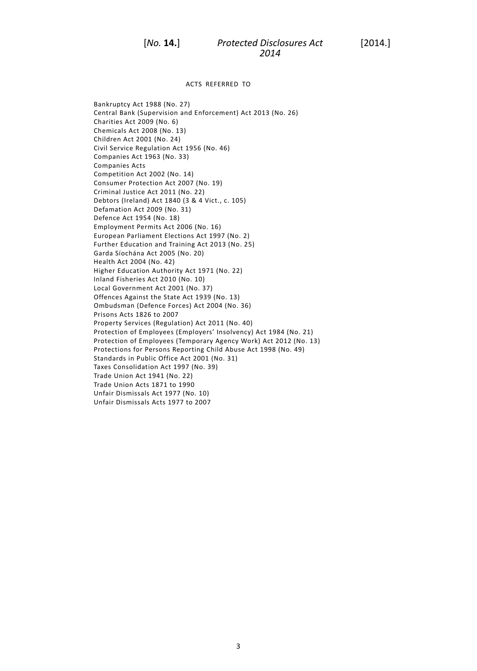ACTS REFERRED TO

Bankruptcy Act 1988 (No. 27) Central Bank (Supervision and Enforcement) Act 2013 (No. 26) Charities Act 2009 (No. 6) Chemicals Act 2008 (No. 13) Children Act 2001 (No. 24) Civil Service Regulation Act 1956 (No. 46) Companies Act 1963 (No. 33) Companies Acts Competition Act 2002 (No. 14) Consumer Protection Act 2007 (No. 19) Criminal Justice Act 2011 (No. 22) Debtors (Ireland) Act 1840 (3 & 4 Vict., c. 105) Defamation Act 2009 (No. 31) Defence Act 1954 (No. 18) Employment Permits Act 2006 (No. 16) European Parliament Elections Act 1997 (No. 2) Further Education and Training Act 2013 (No. 25) Garda Síochána Act 2005 (No. 20) Health Act 2004 (No. 42) Higher Education Authority Act 1971 (No. 22) Inland Fisheries Act 2010 (No. 10) Local Government Act 2001 (No. 37) Offences Against the State Act 1939 (No. 13) Ombudsman (Defence Forces) Act 2004 (No. 36) Prisons Acts 1826 to 2007 Property Services (Regulation) Act 2011 (No. 40) Protection of Employees (Employers' Insolvency) Act 1984 (No. 21) Protection of Employees (Temporary Agency Work) Act 2012 (No. 13) Protections for Persons Reporting Child Abuse Act 1998 (No. 49) Standards in Public Office Act 2001 (No. 31) Taxes Consolidation Act 1997 (No. 39) Trade Union Act 1941 (No. 22) Trade Union Acts 1871 to 1990 Unfair Dismissals Act 1977 (No. 10) Unfair Dismissals Acts 1977 to 2007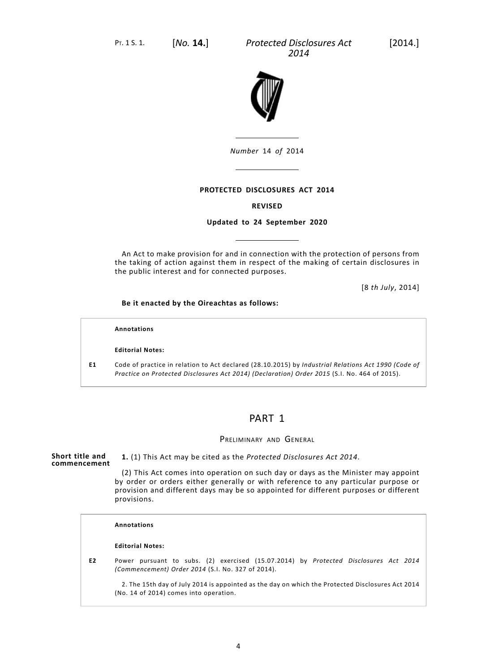

*Number* 14 *of* 2014

## **PROTECTED DISCLOSURES ACT 2014**

### **REVISED**

### **Updated to 24 September 2020**

An Act to make provision for and in connection with the protection of persons from the taking of action against them in respect of the making of certain disclosures in the public interest and for connected purposes.

[8 *th July*, 2014]

### **Be it enacted by the Oireachtas as follows:**

#### **Annotations**

### **Editorial Notes:**

**E1** Code of practice in relation to Act declared (28.10.2015) by *Industrial Relations Act 1990 (Code of Practice on Protected Disclosures Act 2014) (Declaration) Order 2015* (S.I. No. 464 of 2015).

## PART 1

### PRELIMINARY AND GENERAL

#### **Short title and commencement 1.** (1) This Act may be cited as the *Protected Disclosures Act 2014*.

(2) This Act comes into operation on such day or days as the Minister may appoint by order or orders either generally or with reference to any particular purpose or provision and different days may be so appointed for different purposes or different provisions.

#### **Annotations**

#### **Editorial Notes:**

**E2** Power pursuant to subs. (2) exercised (15.07.2014) by *Protected Disclosures Act 2014 (Commencement) Order 2014* (S.I. No. 327 of 2014).

2. The 15th day of July 2014 is appointed as the day on which the Protected Disclosures Act 2014 (No. 14 of 2014) comes into operation.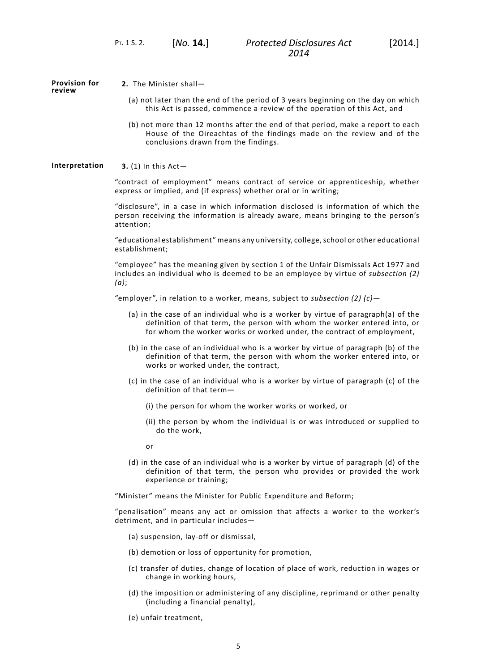**Provision for review**

**2.** The Minister shall—

- (a) not later than the end of the period of 3 years beginning on the day on which this Act is passed, commence a review of the operation of this Act, and
- (b) not more than 12 months after the end of that period, make a report to each House of the Oireachtas of the findings made on the review and of the conclusions drawn from the findings.

### **Interpretation 3.** (1) In this Act—

"contract of employment" means contract of service or apprenticeship, whether express or implied, and (if express) whether oral or in writing;

"disclosure", in a case in which information disclosed is information of which the person receiving the information is already aware, means bringing to the person's attention;

"educational establishment" means any university, college, school or other educational establishment;

"employee" has the meaning given by section 1 of the Unfair Dismissals Act 1977 and includes an individual who is deemed to be an employee by virtue of *subsection (2) (a)*;

"employer", in relation to a worker, means, subject to *subsection (2) (c)*—

- (a) in the case of an individual who is a worker by virtue of paragraph(a) of the definition of that term, the person with whom the worker entered into, or for whom the worker works or worked under, the contract of employment,
- (b) in the case of an individual who is a worker by virtue of paragraph (b) of the definition of that term, the person with whom the worker entered into, or works or worked under, the contract,
- (c) in the case of an individual who is a worker by virtue of paragraph (c) of the definition of that term—
	- (i) the person for whom the worker works or worked, or
	- (ii) the person by whom the individual is or was introduced or supplied to do the work,
	- or
- (d) in the case of an individual who is a worker by virtue of paragraph (d) of the definition of that term, the person who provides or provided the work experience or training;

"Minister" means the Minister for Public Expenditure and Reform;

"penalisation" means any act or omission that affects a worker to the worker's detriment, and in particular includes—

- (a) suspension, lay-off or dismissal,
- (b) demotion or loss of opportunity for promotion,
- (c) transfer of duties, change of location of place of work, reduction in wages or change in working hours,
- (d) the imposition or administering of any discipline, reprimand or other penalty (including a financial penalty),
- (e) unfair treatment,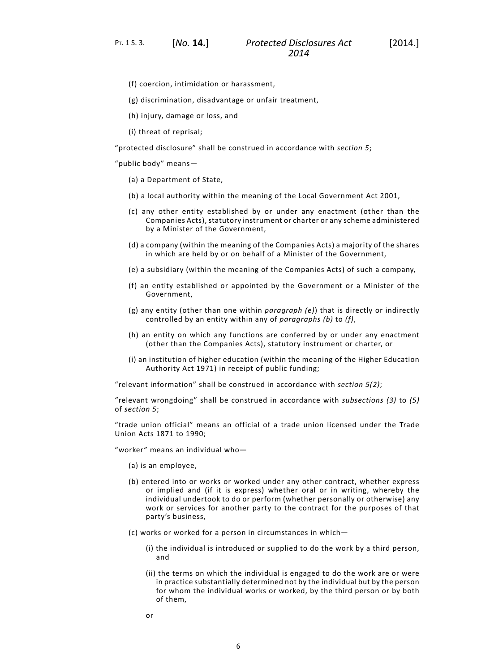PT. 1 S. 3. [*No.* **14.**]

- (f) coercion, intimidation or harassment,
- (g) discrimination, disadvantage or unfair treatment,
- (h) injury, damage or loss, and
- (i) threat of reprisal;

"protected disclosure" shall be construed in accordance with *[section](#page-10-0) 5*;

"public body" means—

- (a) a Department of State,
- (b) a local authority within the meaning of the Local Government Act 2001,
- (c) any other entity established by or under any enactment (other than the Companies Acts), statutory instrument or charter or any scheme administered by a Minister of the Government,
- (d) a company (within the meaning of the Companies Acts) a majority of the shares in which are held by or on behalf of a Minister of the Government,
- (e) a subsidiary (within the meaning of the Companies Acts) of such a company,
- (f) an entity established or appointed by the Government or a Minister of the Government,
- (g) any entity (other than one within *paragraph (e)*) that is directly or indirectly controlled by an entity within any of *paragraphs (b)* to *(f)*,
- (h) an entity on which any functions are conferred by or under any enactment (other than the Companies Acts), statutory instrument or charter, or
- (i) an institution of higher education (within the meaning of the Higher Education Authority Act 1971) in receipt of public funding;

"relevant information" shall be construed in accordance with *[section](#page-10-0) 5(2)*;

"relevant wrongdoing" shall be construed in accordance with *subsections (3)* to *(5)* of *[section](#page-10-0) 5*;

"trade union official" means an official of a trade union licensed under the Trade Union Acts 1871 to 1990;

"worker" means an individual who—

- (a) is an employee,
- (b) entered into or works or worked under any other contract, whether express or implied and (if it is express) whether oral or in writing, whereby the individual undertook to do or perform (whether personally or otherwise) any work or services for another party to the contract for the purposes of that party's business,
- (c) works or worked for a person in circumstances in which—
	- (i) the individual is introduced or supplied to do the work by a third person, and
	- (ii) the terms on which the individual is engaged to do the work are or were in practice substantially determined not by the individual but by the person for whom the individual works or worked, by the third person or by both of them,
	- or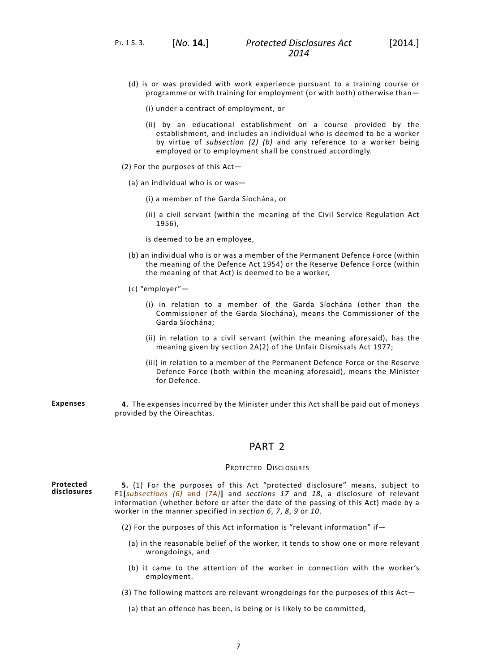- (d) is or was provided with work experience pursuant to a training course or programme or with training for employment (or with both) otherwise than—
	- (i) under a contract of employment, or
	- (ii) by an educational establishment on a course provided by the establishment, and includes an individual who is deemed to be a worker by virtue of *subsection (2) (b)* and any reference to a worker being employed or to employment shall be construed accordingly.
- (2) For the purposes of this Act—
	- (a) an individual who is or was—
		- (i) a member of the Garda Síochána, or
		- (ii) a civil servant (within the meaning of the Civil Service Regulation Act 1956),

is deemed to be an employee,

- (b) an individual who is or was a member of the Permanent Defence Force (within the meaning of the Defence Act 1954) or the Reserve Defence Force (within the meaning of that Act) is deemed to be a worker,
- (c) "employer"—
	- (i) in relation to a member of the Garda Síochána (other than the Commissioner of the Garda Síochána), means the Commissioner of the Garda Síochána;
	- (ii) in relation to a civil servant (within the meaning aforesaid), has the meaning given by section 2A(2) of the Unfair Dismissals Act 1977;
	- (iii) in relation to a member of the Permanent Defence Force or the Reserve Defence Force (both within the meaning aforesaid), means the Minister for Defence.
- **Expenses 4.** The expenses incurred by the Minister under this Act shall be paid out of moneys provided by the Oireachtas.

## PART 2

#### PROTECTED DISCLOSURES

**Protected disclosures**

<span id="page-10-0"></span>**5.** (1) For the purposes of this Act "protected disclosure" means, subject to F1**[***subsections (6)* and *(7A)***]** and *[sections](#page-18-0) 17* and *[18](#page-19-0)*, a disclosure of relevant information (whether before or after the date of the passing of this Act) made by a worker in the manner specified in *[section](#page-12-0) 6*, *[7](#page-12-1)*, *[8](#page-13-0)*, *[9](#page-13-1)* or *[10](#page-13-2)*.

- (2) For the purposes of this Act information is "relevant information" if—
	- (a) in the reasonable belief of the worker, it tends to show one or more relevant wrongdoings, and
	- (b) it came to the attention of the worker in connection with the worker's employment.
- (3) The following matters are relevant wrongdoings for the purposes of this Act—

(a) that an offence has been, is being or is likely to be committed,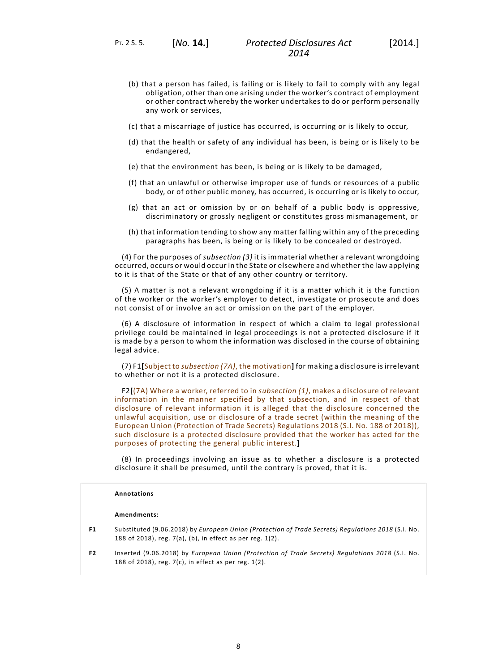PT. 2 S. 5. [*No.* **14.**]

- (b) that a person has failed, is failing or is likely to fail to comply with any legal obligation, other than one arising under the worker's contract of employment or other contract whereby the worker undertakes to do or perform personally any work or services,
- (c) that a miscarriage of justice has occurred, is occurring or is likely to occur,
- (d) that the health or safety of any individual has been, is being or is likely to be endangered,
- (e) that the environment has been, is being or is likely to be damaged,
- (f) that an unlawful or otherwise improper use of funds or resources of a public body, or of other public money, has occurred, is occurring or is likely to occur,
- (g) that an act or omission by or on behalf of a public body is oppressive, discriminatory or grossly negligent or constitutes gross mismanagement, or
- (h) that information tending to show any matter falling within any of the preceding paragraphs has been, is being or is likely to be concealed or destroyed.

(4) For the purposes of *subsection (3)* it is immaterial whether a relevant wrongdoing occurred, occurs or would occur in the State or elsewhere and whether the law applying to it is that of the State or that of any other country or territory.

(5) A matter is not a relevant wrongdoing if it is a matter which it is the function of the worker or the worker's employer to detect, investigate or prosecute and does not consist of or involve an act or omission on the part of the employer.

(6) A disclosure of information in respect of which a claim to legal professional privilege could be maintained in legal proceedings is not a protected disclosure if it is made by a person to whom the information was disclosed in the course of obtaining legal advice.

(7) F1**[**Subject to *subsection (7A)*, the motivation**]** for making a disclosure is irrelevant to whether or not it is a protected disclosure.

F2**[**(7A) Where a worker, referred to in *subsection (1)*, makes a disclosure of relevant information in the manner specified by that subsection, and in respect of that disclosure of relevant information it is alleged that the disclosure concerned the unlawful acquisition, use or disclosure of a trade secret (within the meaning of the European Union (Protection of Trade Secrets) Regulations 2018 (S.I. No. 188 of 2018)), such disclosure is a protected disclosure provided that the worker has acted for the purposes of protecting the general public interest.**]**

(8) In proceedings involving an issue as to whether a disclosure is a protected disclosure it shall be presumed, until the contrary is proved, that it is.

#### **Annotations**

#### **Amendments:**

- **F1** Substituted (9.06.2018) by *European Union (Protection of Trade Secrets) Regulations 2018* (S.I. No. 188 of 2018), reg. 7(a), (b), in effect as per reg. 1(2).
- **F2** Inserted (9.06.2018) by *European Union (Protection of Trade Secrets) Regulations 2018* (S.I. No. 188 of 2018), reg. 7(c), in effect as per reg. 1(2).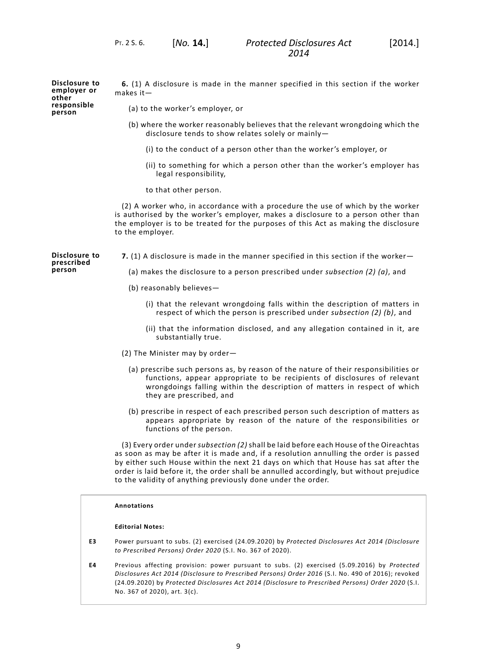PT. 2 S. 6. [*No.* **14.**]

makes it—

**Disclosure to employer or other responsible person**

(a) to the worker's employer, or

(b) where the worker reasonably believes that the relevant wrongdoing which the disclosure tends to show relates solely or mainly—

<span id="page-12-0"></span>**6.** (1) A disclosure is made in the manner specified in this section if the worker

- (i) to the conduct of a person other than the worker's employer, or
- (ii) to something for which a person other than the worker's employer has legal responsibility,
- to that other person.

<span id="page-12-1"></span>(2) A worker who, in accordance with a procedure the use of which by the worker is authorised by the worker's employer, makes a disclosure to a person other than the employer is to be treated for the purposes of this Act as making the disclosure to the employer.

**Disclosure to prescribed person**

**7.** (1) A disclosure is made in the manner specified in this section if the worker—

(a) makes the disclosure to a person prescribed under *subsection (2) (a)*, and

- (b) reasonably believes—
	- (i) that the relevant wrongdoing falls within the description of matters in respect of which the person is prescribed under *subsection (2) (b)*, and
	- (ii) that the information disclosed, and any allegation contained in it, are substantially true.
- (2) The Minister may by order—
	- (a) prescribe such persons as, by reason of the nature of their responsibilities or functions, appear appropriate to be recipients of disclosures of relevant wrongdoings falling within the description of matters in respect of which they are prescribed, and
	- (b) prescribe in respect of each prescribed person such description of matters as appears appropriate by reason of the nature of the responsibilities or functions of the person.

(3) Every order under *subsection (2)* shall be laid before each House of the Oireachtas as soon as may be after it is made and, if a resolution annulling the order is passed by either such House within the next 21 days on which that House has sat after the order is laid before it, the order shall be annulled accordingly, but without prejudice to the validity of anything previously done under the order.

#### **Annotations**

#### **Editorial Notes:**

- **E3** Power pursuant to subs. (2) exercised (24.09.2020) by *Protected Disclosures Act 2014 (Disclosure to Prescribed Persons) Order 2020* (S.I. No. 367 of 2020).
- **E4** Previous affecting provision: power pursuant to subs. (2) exercised (5.09.2016) by *Protected Disclosures Act 2014 (Disclosure to Prescribed Persons) Order 2016* (S.I. No. 490 of 2016); revoked (24.09.2020) by *Protected Disclosures Act 2014 (Disclosure to Prescribed Persons) Order 2020* (S.I. No. 367 of 2020), art. 3(c).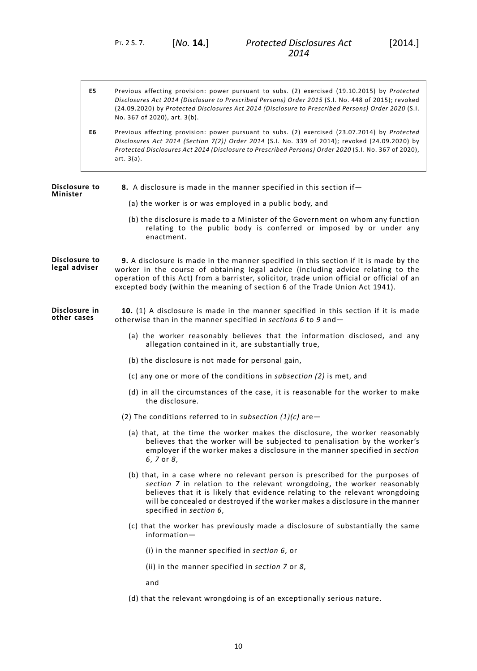PT. 2 S. 7. [*No.* **14.**]

| E5. | Previous affecting provision: power pursuant to subs. (2) exercised (19.10.2015) by Protected                                                                                                                                                                                         |
|-----|---------------------------------------------------------------------------------------------------------------------------------------------------------------------------------------------------------------------------------------------------------------------------------------|
|     | Disclosures Act 2014 (Disclosure to Prescribed Persons) Order 2015 (S.I. No. 448 of 2015); revoked                                                                                                                                                                                    |
|     | (24.09.2020) by Protected Disclosures Act 2014 (Disclosure to Prescribed Persons) Order 2020 (S.I.                                                                                                                                                                                    |
|     | No. 367 of 2020). art. 3(b).                                                                                                                                                                                                                                                          |
| --  | $D_{1}$ , $D_{2}$ , $D_{3}$ , $D_{4}$ , $D_{5}$ , $D_{5}$ , $D_{6}$ , $D_{7}$ , $D_{8}$ , $D_{1}$ , $D_{1}$ , $D_{2}$ , $D_{3}$ , $D_{4}$ , $D_{5}$ , $D_{6}$ , $D_{7}$ , $D_{8}$ , $D_{9}$ , $D_{1}$ , $D_{1}$ , $D_{2}$ , $D_{3}$ , $D_{4}$ , $D_{5}$ , $D_{6}$ , $D_{7}$ , $D_{8}$ |

<span id="page-13-0"></span>**E6** Previous affecting provision: power pursuant to subs. (2) exercised (23.07.2014) by *Protected Disclosures Act 2014 (Section 7(2)) Order 2014* (S.I. No. 339 of 2014); revoked (24.09.2020) by *Protected Disclosures Act 2014 (Disclosure to Prescribed Persons) Order 2020* (S.I. No. 367 of 2020), art. 3(a).

<span id="page-13-2"></span><span id="page-13-1"></span>**Disclosure to Minister 8.** A disclosure is made in the manner specified in this section if— (a) the worker is or was employed in a public body, and (b) the disclosure is made to a Minister of the Government on whom any function relating to the public body is conferred or imposed by or under any enactment. **Disclosure to legal adviser 9.** A disclosure is made in the manner specified in this section if it is made by the worker in the course of obtaining legal advice (including advice relating to the operation of this Act) from a barrister, solicitor, trade union official or official of an excepted body (within the meaning of section 6 of the Trade Union Act 1941). **Disclosure in other cases 10.** (1) A disclosure is made in the manner specified in this section if it is made otherwise than in the manner specified in *[sections](#page-12-0) 6* to *9* and— (a) the worker reasonably believes that the information disclosed, and any allegation contained in it, are substantially true, (b) the disclosure is not made for personal gain, (c) any one or more of the conditions in *subsection (2)* is met, and (d) in all the circumstances of the case, it is reasonable for the worker to make the disclosure. (2) The conditions referred to in *subsection (1)(c)* are— (a) that, at the time the worker makes the disclosure, the worker reasonably believes that the worker will be subjected to penalisation by the worker's employer if the worker makes a disclosure in the manner specified in *[section](#page-12-0) [6](#page-12-0)*, *[7](#page-12-1)* or *[8](#page-12-0)*, (b) that, in a case where no relevant person is prescribed for the purposes of *[section](#page-12-1) 7* in relation to the relevant wrongdoing, the worker reasonably believes that it is likely that evidence relating to the relevant wrongdoing will be concealed or destroyed if the worker makes a disclosure in the manner specified in *[section](#page-12-0) 6*, (c) that the worker has previously made a disclosure of substantially the same information— (i) in the manner specified in *[section](#page-12-0) 6*, or (ii) in the manner specified in *[section](#page-12-1) 7* or *[8](#page-13-0)*, and (d) that the relevant wrongdoing is of an exceptionally serious nature.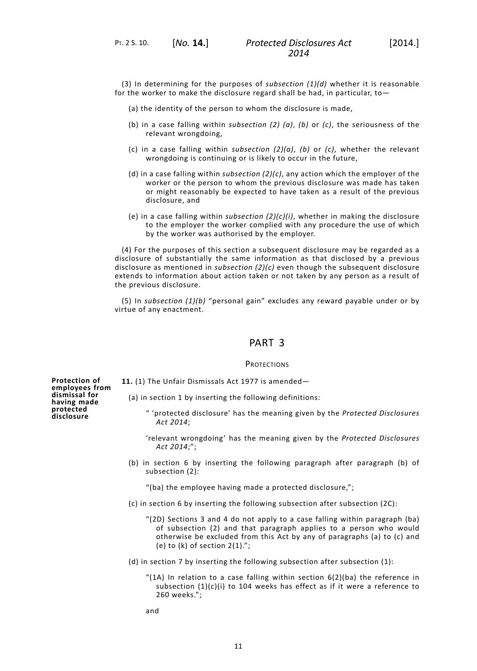PT. 2 S. 10. [*No.* **14.**]

(3) In determining for the purposes of *subsection (1)(d)* whether it is reasonable for the worker to make the disclosure regard shall be had, in particular, to—

- (a) the identity of the person to whom the disclosure is made,
- (b) in a case falling within *subsection (2) (a)*, *(b)* or *(c)*, the seriousness of the relevant wrongdoing,
- (c) in a case falling within *subsection (2)(a)*, *(b)* or *(c)*, whether the relevant wrongdoing is continuing or is likely to occur in the future,
- (d) in a case falling within *subsection (2)(c)*, any action which the employer of the worker or the person to whom the previous disclosure was made has taken or might reasonably be expected to have taken as a result of the previous disclosure, and
- (e) in a case falling within *subsection (2)(c)(i)*, whether in making the disclosure to the employer the worker complied with any procedure the use of which by the worker was authorised by the employer.

(4) For the purposes of this section a subsequent disclosure may be regarded as a disclosure of substantially the same information as that disclosed by a previous disclosure as mentioned in *subsection (2)(c)* even though the subsequent disclosure extends to information about action taken or not taken by any person as a result of the previous disclosure.

(5) In *subsection (1)(b)* "personal gain" excludes any reward payable under or by virtue of any enactment.

# PART 3

#### **PROTECTIONS**

**Protection of employees from dismissal for having made protected disclosure**

<span id="page-14-0"></span>**11.** (1) The Unfair Dismissals Act 1977 is amended—

(a) in section 1 by inserting the following definitions:

- " 'protected disclosure' has the meaning given by the *Protected Disclosures Act 2014*;
- 'relevant wrongdoing' has the meaning given by the *Protected Disclosures Act 2014*;";
- (b) in section 6 by inserting the following paragraph after paragraph (b) of subsection (2):

"(ba) the employee having made a protected disclosure,";

- (c) in section 6 by inserting the following subsection after subsection (2C):
	- "(2D) Sections 3 and 4 do not apply to a case falling within paragraph (ba) of subsection (2) and that paragraph applies to a person who would otherwise be excluded from this Act by any of paragraphs (a) to (c) and (e) to (k) of section  $2(1).$ ";
- (d) in section 7 by inserting the following subsection after subsection (1):
	- "(1A) In relation to a case falling within section 6(2)(ba) the reference in subsection (1)(c)(i) to 104 weeks has effect as if it were a reference to 260 weeks.";

and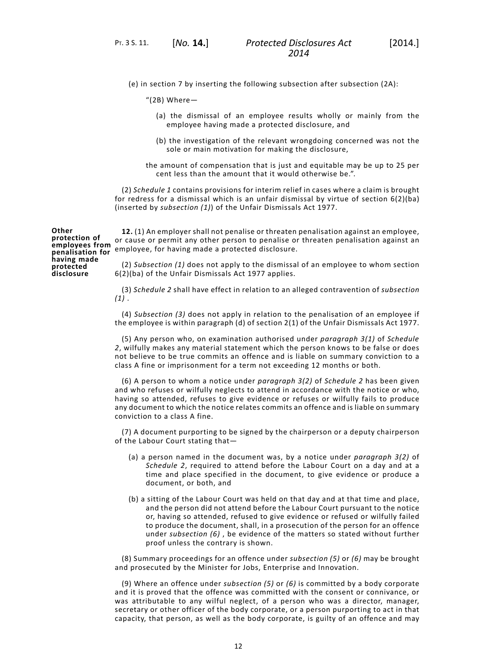PT. 3 S. 11. [*No.* **14.**]

(e) in section 7 by inserting the following subsection after subsection (2A):

"(2B) Where—

- (a) the dismissal of an employee results wholly or mainly from the employee having made a protected disclosure, and
- (b) the investigation of the relevant wrongdoing concerned was not the sole or main motivation for making the disclosure,
- the amount of compensation that is just and equitable may be up to 25 per cent less than the amount that it would otherwise be.".

<span id="page-15-0"></span>(2) *[Schedule](#page-23-0) 1* contains provisions for interim relief in cases where a claim is brought for redress for a dismissal which is an unfair dismissal by virtue of section 6(2)(ba) (inserted by *subsection (1)*) of the Unfair Dismissals Act 1977.

**Other protection of employees from penalisation for having made protected disclosure**

**12.** (1) An employer shall not penalise or threaten penalisation against an employee, or cause or permit any other person to penalise or threaten penalisation against an employee, for having made a protected disclosure.

(2) *Subsection (1)* does not apply to the dismissal of an employee to whom section 6(2)(ba) of the Unfair Dismissals Act 1977 applies.

(3) *[Schedule](#page-26-0) 2* shall have effect in relation to an alleged contravention of *subsection (1)* .

(4) *Subsection (3)* does not apply in relation to the penalisation of an employee if the employee is within paragraph (d) of section 2(1) of the Unfair Dismissals Act 1977.

(5) Any person who, on examination authorised under *paragraph 3(1)* of *[Schedule](#page-26-0) [2](#page-26-0)*, wilfully makes any material statement which the person knows to be false or does not believe to be true commits an offence and is liable on summary conviction to a class A fine or imprisonment for a term not exceeding 12 months or both.

(6) A person to whom a notice under *paragraph 3(2)* of *[Schedule](#page-26-0) 2* has been given and who refuses or wilfully neglects to attend in accordance with the notice or who, having so attended, refuses to give evidence or refuses or wilfully fails to produce any document to which the notice relates commits an offence and is liable on summary conviction to a class A fine.

(7) A document purporting to be signed by the chairperson or a deputy chairperson of the Labour Court stating that—

- (a) a person named in the document was, by a notice under *paragraph 3(2)* of *[Schedule](#page-26-0) 2*, required to attend before the Labour Court on a day and at a time and place specified in the document, to give evidence or produce a document, or both, and
- (b) a sitting of the Labour Court was held on that day and at that time and place, and the person did not attend before the Labour Court pursuant to the notice or, having so attended, refused to give evidence or refused or wilfully failed to produce the document, shall, in a prosecution of the person for an offence under *subsection (6)* , be evidence of the matters so stated without further proof unless the contrary is shown.

(8) Summary proceedings for an offence under *subsection (5)* or *(6)* may be brought and prosecuted by the Minister for Jobs, Enterprise and Innovation.

(9) Where an offence under *subsection (5)* or *(6)* is committed by a body corporate and it is proved that the offence was committed with the consent or connivance, or was attributable to any wilful neglect, of a person who was a director, manager, secretary or other officer of the body corporate, or a person purporting to act in that capacity, that person, as well as the body corporate, is guilty of an offence and may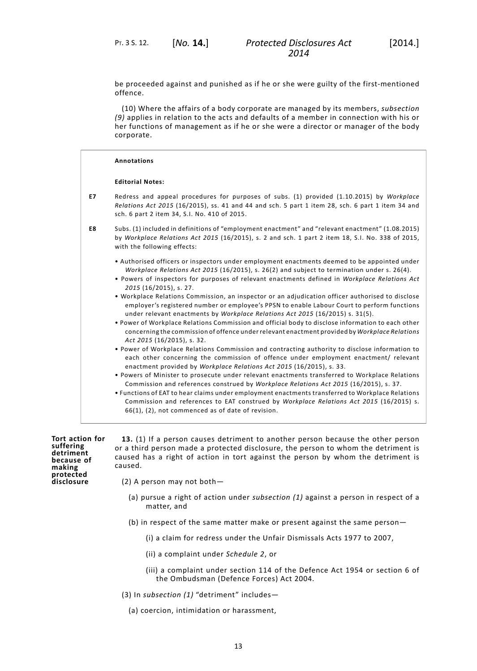PT. 3 S. 12. [*No.* **14.**]

be proceeded against and punished as if he or she were guilty of the first-mentioned offence.

(10) Where the affairs of a body corporate are managed by its members, *subsection (9)* applies in relation to the acts and defaults of a member in connection with his or her functions of management as if he or she were a director or manager of the body corporate.

|    | <b>Annotations</b>                                                                                                                                                                                                                                                                                                                                                                                                                                                                                                                                                                                                                                                                                                                                                                                                                             |
|----|------------------------------------------------------------------------------------------------------------------------------------------------------------------------------------------------------------------------------------------------------------------------------------------------------------------------------------------------------------------------------------------------------------------------------------------------------------------------------------------------------------------------------------------------------------------------------------------------------------------------------------------------------------------------------------------------------------------------------------------------------------------------------------------------------------------------------------------------|
|    | <b>Editorial Notes:</b>                                                                                                                                                                                                                                                                                                                                                                                                                                                                                                                                                                                                                                                                                                                                                                                                                        |
| E7 | Redress and appeal procedures for purposes of subs. (1) provided (1.10.2015) by Workplace<br>Relations Act 2015 (16/2015), ss. 41 and 44 and sch. 5 part 1 item 28, sch. 6 part 1 item 34 and<br>sch. 6 part 2 item 34, S.I. No. 410 of 2015.                                                                                                                                                                                                                                                                                                                                                                                                                                                                                                                                                                                                  |
| E8 | Subs. (1) included in definitions of "employment enactment" and "relevant enactment" (1.08.2015)<br>by Workplace Relations Act 2015 (16/2015), s. 2 and sch. 1 part 2 item 18, S.I. No. 338 of 2015,<br>with the following effects:                                                                                                                                                                                                                                                                                                                                                                                                                                                                                                                                                                                                            |
|    | • Authorised officers or inspectors under employment enactments deemed to be appointed under<br>Workplace Relations Act 2015 (16/2015), s. 26(2) and subject to termination under s. 26(4).<br>. Powers of inspectors for purposes of relevant enactments defined in Workplace Relations Act<br>2015 (16/2015), s. 27.<br>. Workplace Relations Commission, an inspector or an adjudication officer authorised to disclose<br>employer's registered number or employee's PPSN to enable Labour Court to perform functions<br>under relevant enactments by Workplace Relations Act 2015 (16/2015) s. 31(5).<br>. Power of Workplace Relations Commission and official body to disclose information to each other<br>concerning the commission of offence under relevant enactment provided by Workplace Relations<br>Act 2015 (16/2015), s. 32. |
|    | . Power of Workplace Relations Commission and contracting authority to disclose information to<br>each other concerning the commission of offence under employment enactment/ relevant<br>enactment provided by Workplace Relations Act 2015 (16/2015), s. 33.<br>. Powers of Minister to prosecute under relevant enactments transferred to Workplace Relations<br>Commission and references construed by Workplace Relations Act 2015 (16/2015), s. 37.<br>. Functions of EAT to hear claims under employment enactments transferred to Workplace Relations<br>Commission and references to EAT construed by Workplace Relations Act 2015 (16/2015) s.<br>66(1), (2), not commenced as of date of revision.                                                                                                                                  |

**Tort action for suffering detriment because of making protected disclosure**

**13.** (1) If a person causes detriment to another person because the other person or a third person made a protected disclosure, the person to whom the detriment is caused has a right of action in tort against the person by whom the detriment is caused.

- (2) A person may not both—
	- (a) pursue a right of action under *subsection (1)* against a person in respect of a matter, and
	- (b) in respect of the same matter make or present against the same person—
		- (i) a claim for redress under the Unfair Dismissals Acts 1977 to 2007,
		- (ii) a complaint under *[Schedule](#page-26-0) 2*, or
		- (iii) a complaint under section 114 of the Defence Act 1954 or section 6 of the Ombudsman (Defence Forces) Act 2004.
- (3) In *subsection (1)* "detriment" includes—
	- (a) coercion, intimidation or harassment,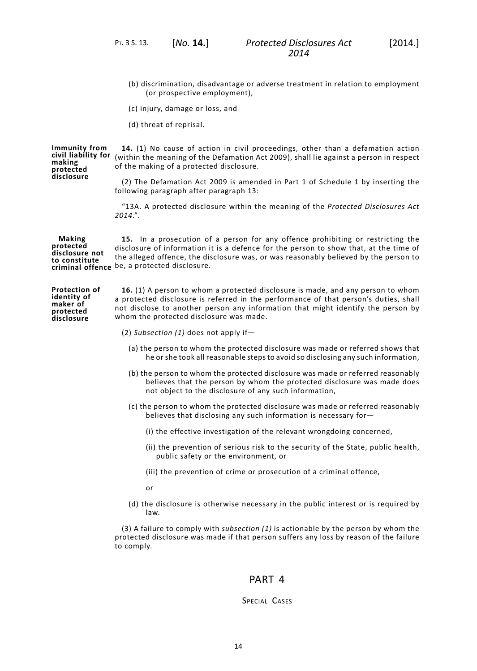- (b) discrimination, disadvantage or adverse treatment in relation to employment (or prospective employment),
- (c) injury, damage or loss, and
- (d) threat of reprisal.

**civil liability for making protected 14.** (1) No cause of action in civil proceedings, other than a defamation action (within the meaning of the Defamation Act 2009), shall lie against a person in respect of the making of a protected disclosure.

> (2) The Defamation Act 2009 is amended in Part 1 of Schedule 1 by inserting the following paragraph after paragraph 13:

> "13A. A protected disclosure within the meaning of the *Protected Disclosures Act 2014*.".

**Making protected disclosure not to constitute criminal offence** be, a protected disclosure. **15.** In a prosecution of a person for any offence prohibiting or restricting the disclosure of information it is a defence for the person to show that, at the time of the alleged offence, the disclosure was, or was reasonably believed by the person to

**Protection of identity of maker of protected disclosure 16.** (1) A person to whom a protected disclosure is made, and any person to whom a protected disclosure is referred in the performance of that person's duties, shall not disclose to another person any information that might identify the person by whom the protected disclosure was made.

- (2) *Subsection (1)* does not apply if—
	- (a) the person to whom the protected disclosure was made or referred shows that he or she took all reasonable steps to avoid so disclosing any such information,
	- (b) the person to whom the protected disclosure was made or referred reasonably believes that the person by whom the protected disclosure was made does not object to the disclosure of any such information,
	- (c) the person to whom the protected disclosure was made or referred reasonably believes that disclosing any such information is necessary for—
		- (i) the effective investigation of the relevant wrongdoing concerned,
		- (ii) the prevention of serious risk to the security of the State, public health, public safety or the environment, or
		- (iii) the prevention of crime or prosecution of a criminal offence,

or

(d) the disclosure is otherwise necessary in the public interest or is required by law.

(3) A failure to comply with *subsection (1)* is actionable by the person by whom the protected disclosure was made if that person suffers any loss by reason of the failure to comply.

## PART 4

### SPECIAL CASES

**Immunity from**

**disclosure**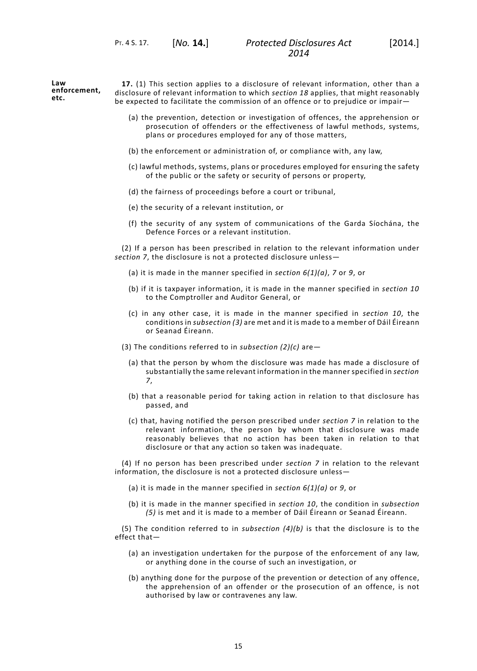**Law enforcement, etc. 17.** (1) This section applies to a disclosure of relevant information, other than a disclosure of relevant information to which *[section](#page-19-0) 18* applies, that might reasonably be expected to facilitate the commission of an offence or to prejudice or impair—

- <span id="page-18-0"></span>(a) the prevention, detection or investigation of offences, the apprehension or prosecution of offenders or the effectiveness of lawful methods, systems, plans or procedures employed for any of those matters,
- (b) the enforcement or administration of, or compliance with, any law,
- (c) lawful methods, systems, plans or procedures employed for ensuring the safety of the public or the safety or security of persons or property,
- (d) the fairness of proceedings before a court or tribunal,
- (e) the security of a relevant institution, or
- (f) the security of any system of communications of the Garda Síochána, the Defence Forces or a relevant institution.

(2) If a person has been prescribed in relation to the relevant information under *[section](#page-12-1) 7*, the disclosure is not a protected disclosure unless—

- (a) it is made in the manner specified in *[section](#page-12-0) 6(1)(a)*, *[7](#page-12-1)* or *[9](#page-13-1)*, or
- (b) if it is taxpayer information, it is made in the manner specified in *[section](#page-13-2) 10* to the Comptroller and Auditor General, or
- (c) in any other case, it is made in the manner specified in *[section](#page-13-2) 10*, the conditions in *subsection (3)* are met and it is made to a member of Dáil Éireann or Seanad Éireann.
- (3) The conditions referred to in *subsection (2)(c)* are—
	- (a) that the person by whom the disclosure was made has made a disclosure of substantially the same relevant information in the manner specified in *[section](#page-12-1) [7](#page-12-1)*,
	- (b) that a reasonable period for taking action in relation to that disclosure has passed, and
	- (c) that, having notified the person prescribed under *[section](#page-12-1) 7* in relation to the relevant information, the person by whom that disclosure was made reasonably believes that no action has been taken in relation to that disclosure or that any action so taken was inadequate.

(4) If no person has been prescribed under *[section](#page-12-1) 7* in relation to the relevant information, the disclosure is not a protected disclosure unless—

- (a) it is made in the manner specified in *[section](#page-12-0) 6(1)(a)* or *[9](#page-13-1)*, or
- (b) it is made in the manner specified in *[section](#page-13-2) 10*, the condition in *subsection (5)* is met and it is made to a member of Dáil Éireann or Seanad Éireann.

(5) The condition referred to in *subsection (4)(b)* is that the disclosure is to the effect that—

- (a) an investigation undertaken for the purpose of the enforcement of any law, or anything done in the course of such an investigation, or
- (b) anything done for the purpose of the prevention or detection of any offence, the apprehension of an offender or the prosecution of an offence, is not authorised by law or contravenes any law.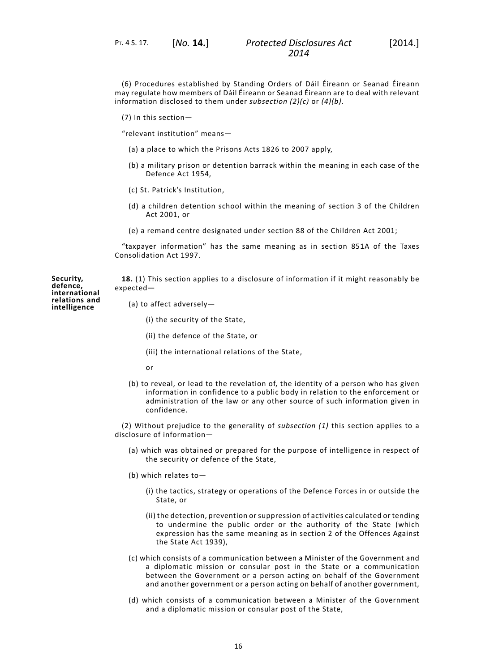PT. 4 S. 17. [*No.* **14.**]

(6) Procedures established by Standing Orders of Dáil Éireann or Seanad Éireann may regulate how members of Dáil Éireann or Seanad Éireann are to deal with relevant information disclosed to them under *subsection (2)(c)* or *(4)(b)*.

(7) In this section—

"relevant institution" means—

- (a) a place to which the Prisons Acts 1826 to 2007 apply,
- (b) a military prison or detention barrack within the meaning in each case of the Defence Act 1954,
- (c) St. Patrick's Institution,
- (d) a children detention school within the meaning of section 3 of the Children Act 2001, or
- (e) a remand centre designated under section 88 of the Children Act 2001;

<span id="page-19-0"></span>"taxpayer information" has the same meaning as in section 851A of the Taxes Consolidation Act 1997.

**18.** (1) This section applies to a disclosure of information if it might reasonably be expected—

(a) to affect adversely—

- (i) the security of the State,
- (ii) the defence of the State, or
- (iii) the international relations of the State,
- or
- (b) to reveal, or lead to the revelation of, the identity of a person who has given information in confidence to a public body in relation to the enforcement or administration of the law or any other source of such information given in confidence.

(2) Without prejudice to the generality of *subsection (1)* this section applies to a disclosure of information—

- (a) which was obtained or prepared for the purpose of intelligence in respect of the security or defence of the State,
- (b) which relates to—
	- (i) the tactics, strategy or operations of the Defence Forces in or outside the State, or
	- (ii) the detection, prevention or suppression of activities calculated or tending to undermine the public order or the authority of the State (which expression has the same meaning as in section 2 of the Offences Against the State Act 1939),
- (c) which consists of a communication between a Minister of the Government and a diplomatic mission or consular post in the State or a communication between the Government or a person acting on behalf of the Government and another government or a person acting on behalf of another government,
- (d) which consists of a communication between a Minister of the Government and a diplomatic mission or consular post of the State,

**Security, defence, international relations and intelligence**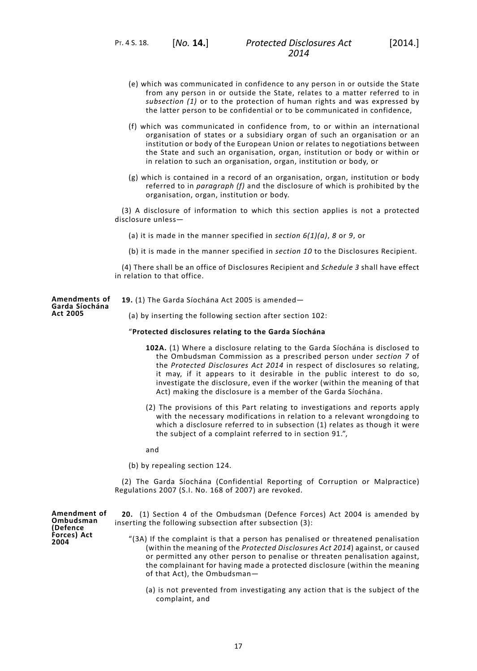- (e) which was communicated in confidence to any person in or outside the State from any person in or outside the State, relates to a matter referred to in *subsection (1)* or to the protection of human rights and was expressed by the latter person to be confidential or to be communicated in confidence,
- (f) which was communicated in confidence from, to or within an international organisation of states or a subsidiary organ of such an organisation or an institution or body of the European Union or relates to negotiations between the State and such an organisation, organ, institution or body or within or in relation to such an organisation, organ, institution or body, or
- (g) which is contained in a record of an organisation, organ, institution or body referred to in *paragraph (f)* and the disclosure of which is prohibited by the organisation, organ, institution or body.

(3) A disclosure of information to which this section applies is not a protected disclosure unless—

- (a) it is made in the manner specified in *[section](#page-12-0) 6(1)(a)*, *[8](#page-13-0)* or *[9](#page-13-1)*, or
- (b) it is made in the manner specified in *[section](#page-13-2) 10* to the Disclosures Recipient.

(4) There shall be an office of Disclosures Recipient and *Schedule 3* shall have effect in relation to that office.

**Amendments of Garda Síochána Act 2005**

**19.** (1) The Garda Síochána Act 2005 is amended—

(a) by inserting the following section after section 102:

### "**Protected disclosures relating to the Garda Síochána**

- **102A.** (1) Where a disclosure relating to the Garda Síochána is disclosed to the Ombudsman Commission as a prescribed person under *[section](#page-12-1) 7* of the *Protected Disclosures Act 2014* in respect of disclosures so relating, it may, if it appears to it desirable in the public interest to do so, investigate the disclosure, even if the worker (within the meaning of that Act) making the disclosure is a member of the Garda Síochána.
- (2) The provisions of this Part relating to investigations and reports apply with the necessary modifications in relation to a relevant wrongdoing to which a disclosure referred to in subsection (1) relates as though it were the subject of a complaint referred to in section 91.",

and

(b) by repealing section 124.

(2) The Garda Síochána (Confidential Reporting of Corruption or Malpractice) Regulations 2007 (S.I. No. 168 of 2007) are revoked.

**Amendment of Ombudsman (Defence Forces) Act 2004**

- **20.** (1) Section 4 of the Ombudsman (Defence Forces) Act 2004 is amended by inserting the following subsection after subsection (3):
	- "(3A) If the complaint is that a person has penalised or threatened penalisation (within the meaning of the *Protected Disclosures Act 2014*) against, or caused or permitted any other person to penalise or threaten penalisation against, the complainant for having made a protected disclosure (within the meaning of that Act), the Ombudsman—
		- (a) is not prevented from investigating any action that is the subject of the complaint, and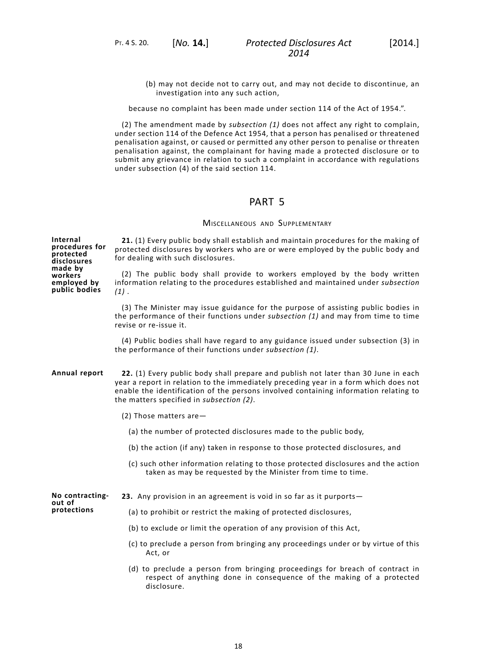because no complaint has been made under section 114 of the Act of 1954.".

(2) The amendment made by *subsection (1)* does not affect any right to complain, under section 114 of the Defence Act 1954, that a person has penalised or threatened penalisation against, or caused or permitted any other person to penalise or threaten penalisation against, the complainant for having made a protected disclosure or to submit any grievance in relation to such a complaint in accordance with regulations under subsection (4) of the said section 114.

# PART 5

### MISCELLANEOUS AND SUPPLEMENTARY

**21.** (1) Every public body shall establish and maintain procedures for the making of protected disclosures by workers who are or were employed by the public body and for dealing with such disclosures.

(2) The public body shall provide to workers employed by the body written information relating to the procedures established and maintained under *subsection (1)* .

(3) The Minister may issue guidance for the purpose of assisting public bodies in the performance of their functions under *subsection (1)* and may from time to time revise or re-issue it.

(4) Public bodies shall have regard to any guidance issued under subsection (3) in the performance of their functions under *subsection (1)*.

**Annual report 22.** (1) Every public body shall prepare and publish not later than 30 June in each year a report in relation to the immediately preceding year in a form which does not enable the identification of the persons involved containing information relating to the matters specified in *subsection (2)*.

- (2) Those matters are—
	- (a) the number of protected disclosures made to the public body,
	- (b) the action (if any) taken in response to those protected disclosures, and
	- (c) such other information relating to those protected disclosures and the action taken as may be requested by the Minister from time to time.

**No contractingout of 23.** Any provision in an agreement is void in so far as it purports—

**protections**

- (a) to prohibit or restrict the making of protected disclosures,
- (b) to exclude or limit the operation of any provision of this Act,
- (c) to preclude a person from bringing any proceedings under or by virtue of this Act, or
- (d) to preclude a person from bringing proceedings for breach of contract in respect of anything done in consequence of the making of a protected disclosure.

**Internal procedures for protected disclosures made by workers employed by public bodies**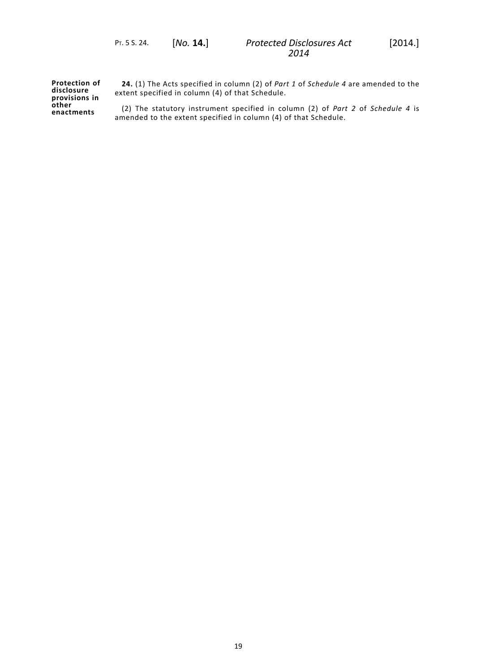**Protection of disclosure provisions in other enactments**

<span id="page-22-0"></span>**24.** (1) The Acts specified in column (2) of *Part 1* of *[Schedule](#page-28-0) 4* are amended to the extent specified in column (4) of that Schedule.

(2) The statutory instrument specified in column (2) of *Part 2* of *[Schedule](#page-28-0) 4* is amended to the extent specified in column (4) of that Schedule.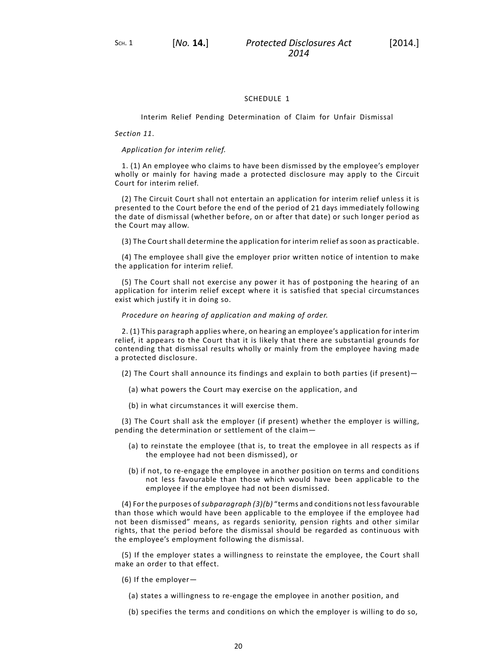### SCHEDULE 1

#### <span id="page-23-0"></span>Interim Relief Pending Determination of Claim for Unfair Dismissal

#### *[Section](#page-14-0) 11*.

#### *Application for interim relief.*

1. (1) An employee who claims to have been dismissed by the employee's employer wholly or mainly for having made a protected disclosure may apply to the Circuit Court for interim relief.

(2) The Circuit Court shall not entertain an application for interim relief unless it is presented to the Court before the end of the period of 21 days immediately following the date of dismissal (whether before, on or after that date) or such longer period as the Court may allow.

(3) The Court shall determine the application for interim relief as soon as practicable.

(4) The employee shall give the employer prior written notice of intention to make the application for interim relief.

(5) The Court shall not exercise any power it has of postponing the hearing of an application for interim relief except where it is satisfied that special circumstances exist which justify it in doing so.

#### *Procedure on hearing of application and making of order.*

2. (1) This paragraph applies where, on hearing an employee's application for interim relief, it appears to the Court that it is likely that there are substantial grounds for contending that dismissal results wholly or mainly from the employee having made a protected disclosure.

(2) The Court shall announce its findings and explain to both parties (if present)—

- (a) what powers the Court may exercise on the application, and
- (b) in what circumstances it will exercise them.

(3) The Court shall ask the employer (if present) whether the employer is willing, pending the determination or settlement of the claim—

- (a) to reinstate the employee (that is, to treat the employee in all respects as if the employee had not been dismissed), or
- (b) if not, to re-engage the employee in another position on terms and conditions not less favourable than those which would have been applicable to the employee if the employee had not been dismissed.

(4) For the purposes of*subparagraph (3)(b)* "terms and conditions not lessfavourable than those which would have been applicable to the employee if the employee had not been dismissed" means, as regards seniority, pension rights and other similar rights, that the period before the dismissal should be regarded as continuous with the employee's employment following the dismissal.

(5) If the employer states a willingness to reinstate the employee, the Court shall make an order to that effect.

- (6) If the employer—
	- (a) states a willingness to re-engage the employee in another position, and
	- (b) specifies the terms and conditions on which the employer is willing to do so,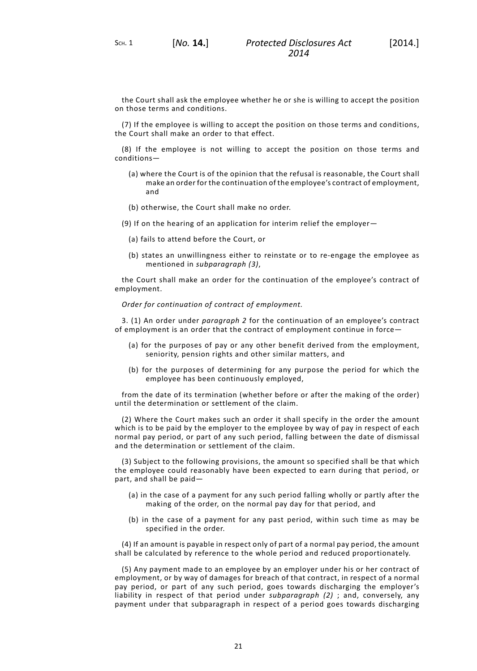SCH. 1 [*No.* **14.**]

the Court shall ask the employee whether he or she is willing to accept the position on those terms and conditions.

(7) If the employee is willing to accept the position on those terms and conditions, the Court shall make an order to that effect.

(8) If the employee is not willing to accept the position on those terms and conditions—

- (a) where the Court is of the opinion that the refusal is reasonable, the Court shall make an order for the continuation of the employee's contract of employment, and
- (b) otherwise, the Court shall make no order.
- (9) If on the hearing of an application for interim relief the employer—
	- (a) fails to attend before the Court, or
	- (b) states an unwillingness either to reinstate or to re-engage the employee as mentioned in *subparagraph (3)*,

the Court shall make an order for the continuation of the employee's contract of employment.

*Order for continuation of contract of employment.*

3. (1) An order under *paragraph 2* for the continuation of an employee's contract of employment is an order that the contract of employment continue in force—

- (a) for the purposes of pay or any other benefit derived from the employment, seniority, pension rights and other similar matters, and
- (b) for the purposes of determining for any purpose the period for which the employee has been continuously employed,

from the date of its termination (whether before or after the making of the order) until the determination or settlement of the claim.

(2) Where the Court makes such an order it shall specify in the order the amount which is to be paid by the employer to the employee by way of pay in respect of each normal pay period, or part of any such period, falling between the date of dismissal and the determination or settlement of the claim.

(3) Subject to the following provisions, the amount so specified shall be that which the employee could reasonably have been expected to earn during that period, or part, and shall be paid—

- (a) in the case of a payment for any such period falling wholly or partly after the making of the order, on the normal pay day for that period, and
- (b) in the case of a payment for any past period, within such time as may be specified in the order.

(4) If an amount is payable in respect only of part of a normal pay period, the amount shall be calculated by reference to the whole period and reduced proportionately.

(5) Any payment made to an employee by an employer under his or her contract of employment, or by way of damages for breach of that contract, in respect of a normal pay period, or part of any such period, goes towards discharging the employer's liability in respect of that period under *subparagraph (2)* ; and, conversely, any payment under that subparagraph in respect of a period goes towards discharging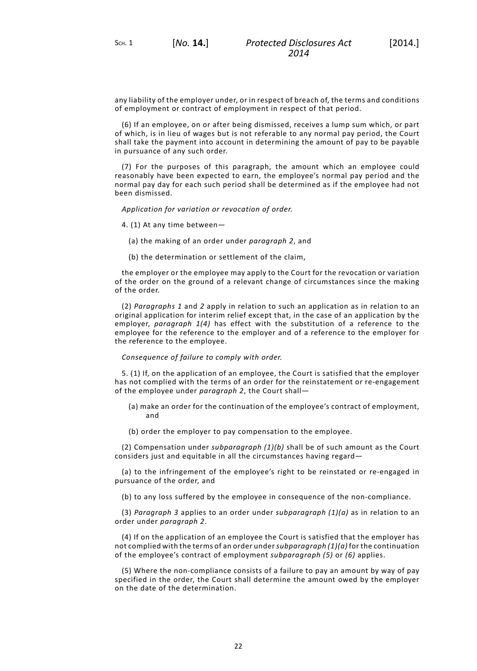any liability of the employer under, or in respect of breach of, the terms and conditions of employment or contract of employment in respect of that period.

(6) If an employee, on or after being dismissed, receives a lump sum which, or part of which, is in lieu of wages but is not referable to any normal pay period, the Court shall take the payment into account in determining the amount of pay to be payable in pursuance of any such order.

(7) For the purposes of this paragraph, the amount which an employee could reasonably have been expected to earn, the employee's normal pay period and the normal pay day for each such period shall be determined as if the employee had not been dismissed.

*Application for variation or revocation of order.*

4. (1) At any time between—

- (a) the making of an order under *paragraph 2*, and
- (b) the determination or settlement of the claim,

the employer or the employee may apply to the Court for the revocation or variation of the order on the ground of a relevant change of circumstances since the making of the order.

(2) *Paragraphs 1* and *2* apply in relation to such an application as in relation to an original application for interim relief except that, in the case of an application by the employer, *paragraph 1(4)* has effect with the substitution of a reference to the employee for the reference to the employer and of a reference to the employer for the reference to the employee.

#### *Consequence of failure to comply with order.*

5. (1) If, on the application of an employee, the Court is satisfied that the employer has not complied with the terms of an order for the reinstatement or re-engagement of the employee under *paragraph 2*, the Court shall—

- (a) make an order for the continuation of the employee's contract of employment, and
- (b) order the employer to pay compensation to the employee.

(2) Compensation under *subparagraph (1)(b)* shall be of such amount as the Court considers just and equitable in all the circumstances having regard—

(a) to the infringement of the employee's right to be reinstated or re-engaged in pursuance of the order, and

(b) to any loss suffered by the employee in consequence of the non-compliance.

(3) *Paragraph 3* applies to an order under *subparagraph (1)(a)* as in relation to an order under *paragraph 2*.

(4) If on the application of an employee the Court is satisfied that the employer has not complied with the terms of an order under*subparagraph (1)(a)* for the continuation of the employee's contract of employment *subparagraph (5)* or *(6)* applies.

(5) Where the non-compliance consists of a failure to pay an amount by way of pay specified in the order, the Court shall determine the amount owed by the employer on the date of the determination.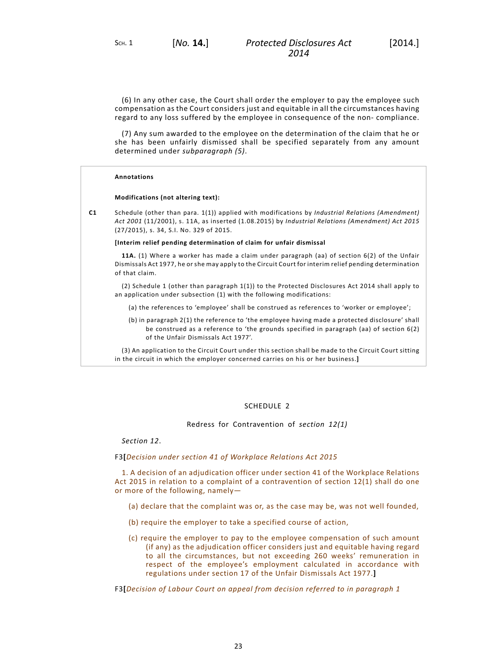(6) In any other case, the Court shall order the employer to pay the employee such compensation as the Court considers just and equitable in all the circumstances having regard to any loss suffered by the employee in consequence of the non- compliance.

(7) Any sum awarded to the employee on the determination of the claim that he or she has been unfairly dismissed shall be specified separately from any amount determined under *subparagraph (5)*.

#### **Annotations**

#### **Modifications (not altering text):**

**C1** Schedule (other than para. 1(1)) applied with modifications by *Industrial Relations (Amendment) Act 2001* (11/2001), s. 11A, as inserted (1.08.2015) by *Industrial Relations (Amendment) Act 2015* (27/2015), s. 34, S.I. No. 329 of 2015.

#### **[Interim relief pending determination of claim for unfair dismissal**

**11A.** (1) Where a worker has made a claim under paragraph (aa) of section 6(2) of the Unfair Dismissals Act 1977, he or she may apply to the Circuit Court for interim relief pending determination of that claim.

(2) Schedule 1 (other than paragraph 1(1)) to the Protected Disclosures Act 2014 shall apply to an application under subsection (1) with the following modifications:

- (a) the references to 'employee' shall be construed as references to 'worker or employee';
- (b) in paragraph 2(1) the reference to 'the employee having made a protected disclosure' shall be construed as a reference to 'the grounds specified in paragraph (aa) of section 6(2) of the Unfair Dismissals Act 1977'.

<span id="page-26-0"></span>(3) An application to the Circuit Court under this section shall be made to the Circuit Court sitting in the circuit in which the employer concerned carries on his or her business.**]**

### SCHEDULE<sub>2</sub>

Redress for Contravention of *section 12(1)*

*[Section](#page-15-0) 12*.

#### F3**[***Decision under section 41 of Workplace Relations Act 2015*

1. A decision of an adjudication officer under section 41 of the Workplace Relations Act 2015 in relation to a complaint of a contravention of section 12(1) shall do one or more of the following, namely—

- (a) declare that the complaint was or, as the case may be, was not well founded,
- (b) require the employer to take a specified course of action,
- (c) require the employer to pay to the employee compensation of such amount (if any) as the adjudication officer considers just and equitable having regard to all the circumstances, but not exceeding 260 weeks' remuneration in respect of the employee's employment calculated in accordance with regulations under section 17 of the Unfair Dismissals Act 1977.**]**

F3**[***Decision of Labour Court on appeal from decision referred to in paragraph 1*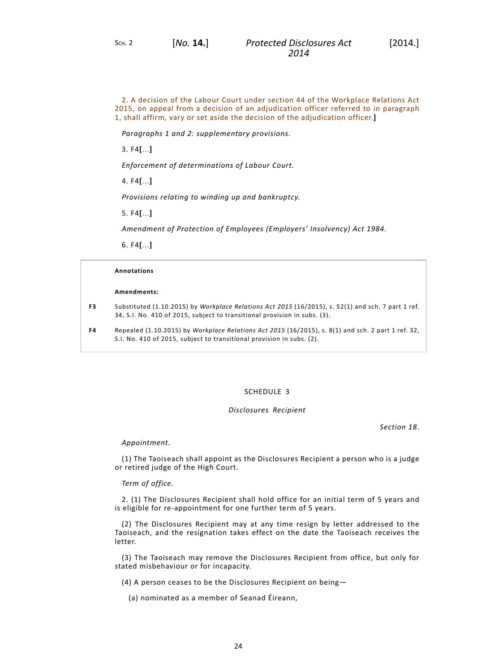2. A decision of the Labour Court under section 44 of the Workplace Relations Act 2015, on appeal from a decision of an adjudication officer referred to in paragraph 1, shall affirm, vary or set aside the decision of the adjudication officer.**]**

*Paragraphs 1 and 2: supplementary provisions.*

3. F4**[**...**]**

*Enforcement of determinations of Labour Court.*

4. F4**[**...**]**

*Provisions relating to winding up and bankruptcy.*

5. F4**[**...**]**

*Amendment of Protection of Employees (Employers' Insolvency) Act 1984.*

6. F4**[**...**]**

#### **Annotations**

#### **Amendments:**

**F3** Substituted (1.10.2015) by *Workplace Relations Act 2015* (16/2015), s. 52(1) and sch. 7 part 1 ref. 34, S.I. No. 410 of 2015, subject to transitional provision in subs. (3).

<span id="page-27-0"></span>**F4** Repealed (1.10.2015) by *Workplace Relations Act 2015* (16/2015), s. 8(1) and sch. 2 part 1 ref. 32, S.I. No. 410 of 2015, subject to transitional provision in subs. (2).

### SCHEDULE 3

### *Disclosures Recipient*

*[Section](#page-19-0) 18*.

### *Appointment.*

(1) The Taoiseach shall appoint as the Disclosures Recipient a person who is a judge or retired judge of the High Court.

#### *Term of office.*

2. (1) The Disclosures Recipient shall hold office for an initial term of 5 years and is eligible for re-appointment for one further term of 5 years.

(2) The Disclosures Recipient may at any time resign by letter addressed to the Taoiseach, and the resignation takes effect on the date the Taoiseach receives the letter.

(3) The Taoiseach may remove the Disclosures Recipient from office, but only for stated misbehaviour or for incapacity.

(4) A person ceases to be the Disclosures Recipient on being—

(a) nominated as a member of Seanad Éireann,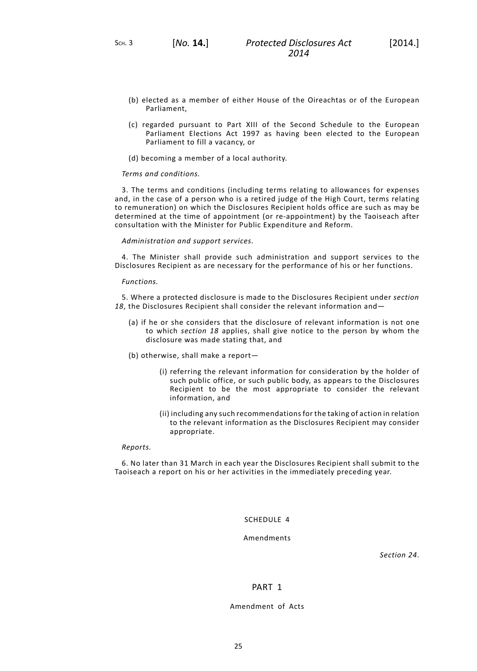SCH. 3 [*No.* **14.**]

- 
- (b) elected as a member of either House of the Oireachtas or of the European Parliament,
- (c) regarded pursuant to Part XIII of the Second Schedule to the European Parliament Elections Act 1997 as having been elected to the European Parliament to fill a vacancy, or
- (d) becoming a member of a local authority.

#### *Terms and conditions.*

3. The terms and conditions (including terms relating to allowances for expenses and, in the case of a person who is a retired judge of the High Court, terms relating to remuneration) on which the Disclosures Recipient holds office are such as may be determined at the time of appointment (or re-appointment) by the Taoiseach after consultation with the Minister for Public Expenditure and Reform.

#### *Administration and support services.*

4. The Minister shall provide such administration and support services to the Disclosures Recipient as are necessary for the performance of his or her functions.

#### *Functions.*

5. Where a protected disclosure is made to the Disclosures Recipient under *[section](#page-19-0) [18](#page-19-0)*, the Disclosures Recipient shall consider the relevant information and—

- (a) if he or she considers that the disclosure of relevant information is not one to which *[section](#page-19-0) 18* applies, shall give notice to the person by whom the disclosure was made stating that, and
- (b) otherwise, shall make a report—
	- (i) referring the relevant information for consideration by the holder of such public office, or such public body, as appears to the Disclosures Recipient to be the most appropriate to consider the relevant information, and
	- (ii) including any such recommendations for the taking of action in relation to the relevant information as the Disclosures Recipient may consider appropriate.

#### *Reports.*

<span id="page-28-0"></span>6. No later than 31 March in each year the Disclosures Recipient shall submit to the Taoiseach a report on his or her activities in the immediately preceding year.

SCHEDULE 4

Amendments

*[Section](#page-22-0) 24*.

## PART 1

### Amendment of Acts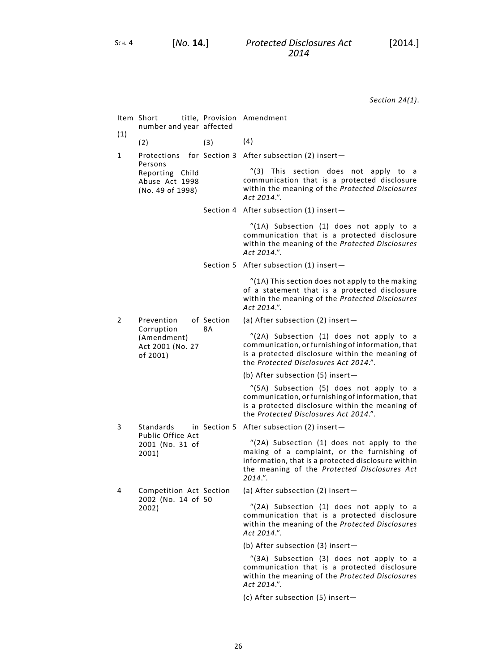*[Section](#page-22-0) 24(1)*.

| (1) | Item Short<br>number and year affected                                  |                  | title, Provision Amendment                                                                                                                                                                                    |
|-----|-------------------------------------------------------------------------|------------------|---------------------------------------------------------------------------------------------------------------------------------------------------------------------------------------------------------------|
|     | (2)                                                                     | (3)              | (4)                                                                                                                                                                                                           |
| 1   | Persons<br>Reporting Child<br>Abuse Act 1998<br>(No. 49 of 1998)        |                  | Protections for Section 3 After subsection (2) insert-                                                                                                                                                        |
|     |                                                                         |                  | "(3) This section does not apply to a<br>communication that is a protected disclosure<br>within the meaning of the Protected Disclosures<br>Act 2014.".                                                       |
|     |                                                                         |                  | Section 4 After subsection (1) insert-                                                                                                                                                                        |
|     |                                                                         |                  | "(1A) Subsection (1) does not apply to a<br>communication that is a protected disclosure<br>within the meaning of the Protected Disclosures<br>Act 2014.".                                                    |
|     |                                                                         |                  | Section 5 After subsection (1) insert-                                                                                                                                                                        |
|     |                                                                         |                  | "(1A) This section does not apply to the making<br>of a statement that is a protected disclosure<br>within the meaning of the Protected Disclosures<br>Act 2014.".                                            |
| 2   | Prevention<br>Corruption<br>(Amendment)<br>Act 2001 (No. 27<br>of 2001) | of Section<br>8А | (a) After subsection (2) insert-                                                                                                                                                                              |
|     |                                                                         |                  | "(2A) Subsection (1) does not apply to a<br>communication, or furnishing of information, that<br>is a protected disclosure within the meaning of<br>the Protected Disclosures Act 2014.".                     |
|     |                                                                         |                  | (b) After subsection (5) insert-                                                                                                                                                                              |
|     |                                                                         |                  | "(5A) Subsection (5) does not apply to a<br>communication, or furnishing of information, that<br>is a protected disclosure within the meaning of<br>the Protected Disclosures Act 2014.".                     |
| 3   | Standards<br>Public Office Act<br>2001 (No. 31 of<br>2001)              |                  | in Section 5 After subsection (2) insert-                                                                                                                                                                     |
|     |                                                                         |                  | "(2A) Subsection (1) does not apply to the<br>making of a complaint, or the furnishing of<br>information, that is a protected disclosure within<br>the meaning of the Protected Disclosures Act<br>$2014."$ . |
| 4   | Competition Act Section<br>2002 (No. 14 of 50<br>2002)                  |                  | (a) After subsection (2) insert-                                                                                                                                                                              |
|     |                                                                         |                  | "(2A) Subsection (1) does not apply to a<br>communication that is a protected disclosure<br>within the meaning of the Protected Disclosures<br>Act 2014.".                                                    |
|     |                                                                         |                  | (b) After subsection (3) insert-                                                                                                                                                                              |
|     |                                                                         |                  | "(3A) Subsection (3) does not apply to a<br>communication that is a protected disclosure<br>within the meaning of the Protected Disclosures<br>Act 2014.".                                                    |

(c) After subsection (5) insert—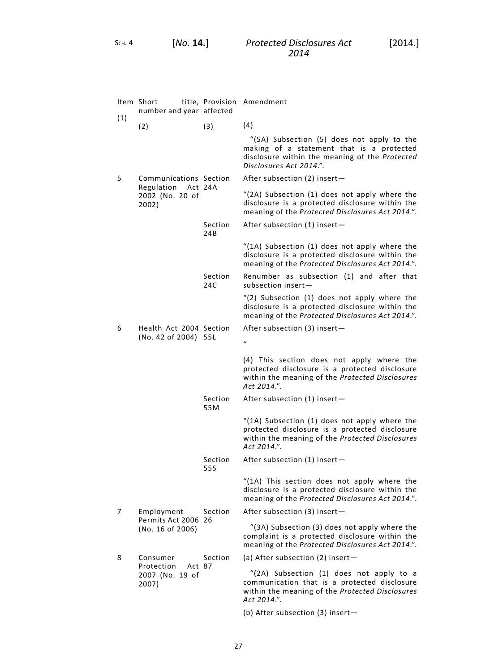|     | Item Short title, Provision Amendment<br>number and year affected        |                |                                                                                                                                                                      |
|-----|--------------------------------------------------------------------------|----------------|----------------------------------------------------------------------------------------------------------------------------------------------------------------------|
| (1) | (2)                                                                      | (3)            | (4)                                                                                                                                                                  |
|     |                                                                          |                | "(5A) Subsection (5) does not apply to the<br>making of a statement that is a protected<br>disclosure within the meaning of the Protected<br>Disclosures Act 2014.". |
| 5   | Communications Section<br>Regulation Act 24A<br>2002 (No. 20 of<br>2002) |                | After subsection (2) insert-                                                                                                                                         |
|     |                                                                          |                | "(2A) Subsection (1) does not apply where the<br>disclosure is a protected disclosure within the<br>meaning of the Protected Disclosures Act 2014.".                 |
|     |                                                                          | Section<br>24B | After subsection (1) insert-                                                                                                                                         |
|     |                                                                          |                | "(1A) Subsection (1) does not apply where the<br>disclosure is a protected disclosure within the<br>meaning of the Protected Disclosures Act 2014.".                 |
|     |                                                                          | Section<br>24C | Renumber as subsection (1) and after that<br>subsection insert-                                                                                                      |
|     |                                                                          |                | "(2) Subsection (1) does not apply where the<br>disclosure is a protected disclosure within the<br>meaning of the Protected Disclosures Act 2014.".                  |
| 6   | Health Act 2004 Section<br>(No. 42 of 2004) 55L                          |                | After subsection (3) insert-<br>$\boldsymbol{u}$                                                                                                                     |
|     |                                                                          |                | (4) This section does not apply where the<br>protected disclosure is a protected disclosure<br>within the meaning of the Protected Disclosures<br>Act 2014.".        |
|     |                                                                          | Section<br>55M | After subsection (1) insert-                                                                                                                                         |
|     |                                                                          |                | "(1A) Subsection (1) does not apply where the<br>protected disclosure is a protected disclosure<br>within the meaning of the Protected Disclosures<br>Act 2014.".    |
|     |                                                                          | Section<br>55S | After subsection (1) insert-                                                                                                                                         |
|     |                                                                          |                | "(1A) This section does not apply where the<br>disclosure is a protected disclosure within the<br>meaning of the Protected Disclosures Act 2014.".                   |
| 7   | Employment<br>Permits Act 2006 26<br>(No. 16 of 2006)                    | Section        | After subsection (3) insert-                                                                                                                                         |
|     |                                                                          |                | "(3A) Subsection (3) does not apply where the<br>complaint is a protected disclosure within the<br>meaning of the Protected Disclosures Act 2014.".                  |
| 8   | Consumer<br>Protection<br>Act 87                                         | Section        | (a) After subsection (2) insert-                                                                                                                                     |
|     | 2007 (No. 19 of<br>2007)                                                 |                | "(2A) Subsection (1) does not apply to a<br>communication that is a protected disclosure<br>within the meaning of the Protected Disclosures<br>Act 2014.".           |
|     |                                                                          |                | (b) After subsection (3) insert-                                                                                                                                     |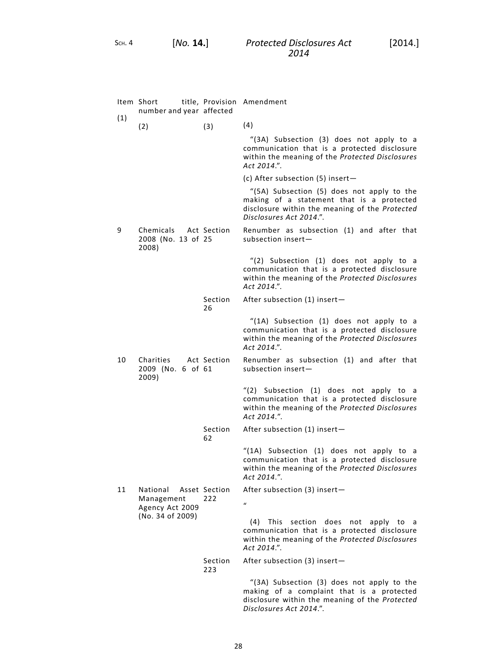|     | Item Short<br>number and year affected               |                      | title, Provision Amendment                                                                                                                                           |
|-----|------------------------------------------------------|----------------------|----------------------------------------------------------------------------------------------------------------------------------------------------------------------|
| (1) | (2)                                                  | (3)                  | (4)                                                                                                                                                                  |
|     |                                                      |                      | "(3A) Subsection (3) does not apply to a<br>communication that is a protected disclosure<br>within the meaning of the Protected Disclosures<br>Act 2014.".           |
|     |                                                      |                      | (c) After subsection $(5)$ insert -                                                                                                                                  |
|     |                                                      |                      | "(5A) Subsection (5) does not apply to the<br>making of a statement that is a protected<br>disclosure within the meaning of the Protected<br>Disclosures Act 2014.". |
| 9   | Chemicals Act Section<br>2008 (No. 13 of 25<br>2008) |                      | Renumber as subsection (1) and after that<br>subsection insert $-$                                                                                                   |
|     |                                                      |                      | "(2) Subsection (1) does not apply to a<br>communication that is a protected disclosure<br>within the meaning of the Protected Disclosures<br>Act 2014.".            |
|     |                                                      | Section<br>26        | After subsection (1) insert-                                                                                                                                         |
|     |                                                      |                      | "(1A) Subsection (1) does not apply to a<br>communication that is a protected disclosure<br>within the meaning of the Protected Disclosures<br>Act 2014.".           |
| 10  | Charities<br>2009 (No. 6 of 61<br>2009)              | Act Section          | Renumber as subsection (1) and after that<br>subsection insert-                                                                                                      |
|     |                                                      |                      | "(2) Subsection (1) does not apply to a<br>communication that is a protected disclosure<br>within the meaning of the Protected Disclosures<br>Act 2014.".            |
|     |                                                      | Section<br>62        | After subsection (1) insert-                                                                                                                                         |
|     |                                                      |                      | "(1A) Subsection (1) does not apply to a<br>communication that is a protected disclosure<br>within the meaning of the Protected Disclosures<br>Act 2014.".           |
| 11  | National<br>Management<br>Agency Act 2009            | Asset Section<br>222 | After subsection (3) insert-                                                                                                                                         |
|     |                                                      |                      | $\boldsymbol{u}$                                                                                                                                                     |
|     | (No. 34 of 2009)                                     |                      | This<br>section does<br>(4)<br>not<br>apply to a<br>communication that is a protected disclosure<br>within the meaning of the Protected Disclosures<br>Act 2014.".   |
|     |                                                      | Section<br>223       | After subsection (3) insert-                                                                                                                                         |
|     |                                                      |                      | "(3A) Subsection (3) does not apply to the<br>making of a complaint that is a protected<br>disclosure within the meaning of the Protected<br>Disclosures Act 2014.". |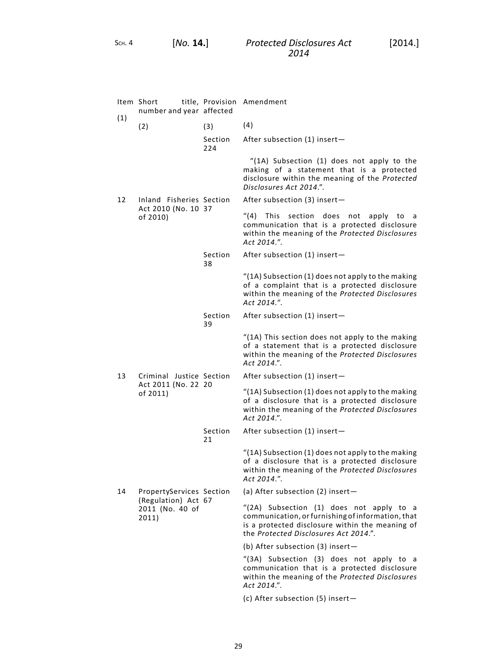SCH. 4 [*No.* **14.**]

|     | Item Short<br>number and year affected                      |                | title, Provision Amendment                                                                                                                                                                |
|-----|-------------------------------------------------------------|----------------|-------------------------------------------------------------------------------------------------------------------------------------------------------------------------------------------|
| (1) | (2)                                                         | (3)            | (4)                                                                                                                                                                                       |
|     |                                                             | Section<br>224 | After subsection (1) insert-                                                                                                                                                              |
|     |                                                             |                | "(1A) Subsection (1) does not apply to the<br>making of a statement that is a protected<br>disclosure within the meaning of the Protected<br>Disclosures Act 2014.".                      |
| 12  | Inland Fisheries Section<br>Act 2010 (No. 10 37<br>of 2010) |                | After subsection (3) insert-                                                                                                                                                              |
|     |                                                             |                | "(4) This section does not apply<br>to a<br>communication that is a protected disclosure<br>within the meaning of the Protected Disclosures<br>Act 2014.".                                |
|     |                                                             | Section<br>38  | After subsection (1) insert-                                                                                                                                                              |
|     |                                                             |                | "(1A) Subsection (1) does not apply to the making<br>of a complaint that is a protected disclosure<br>within the meaning of the Protected Disclosures<br>Act 2014.".                      |
|     |                                                             | Section<br>39  | After subsection (1) insert-                                                                                                                                                              |
|     |                                                             |                | "(1A) This section does not apply to the making<br>of a statement that is a protected disclosure<br>within the meaning of the Protected Disclosures<br>Act 2014.".                        |
| 13  | Criminal Justice Section                                    |                | After subsection (1) insert-                                                                                                                                                              |
|     | Act 2011 (No. 22 20<br>of 2011)                             |                | "(1A) Subsection (1) does not apply to the making<br>of a disclosure that is a protected disclosure<br>within the meaning of the Protected Disclosures<br>Act 2014.".                     |
|     |                                                             | Section<br>21  | After subsection (1) insert-                                                                                                                                                              |
|     |                                                             |                | "(1A) Subsection (1) does not apply to the making<br>of a disclosure that is a protected disclosure<br>within the meaning of the Protected Disclosures<br>Act 2014.".                     |
| 14  | PropertyServices Section                                    |                | (a) After subsection $(2)$ insert-                                                                                                                                                        |
|     | (Regulation) Act 67<br>2011 (No. 40 of<br>2011)             |                | "(2A) Subsection (1) does not apply to a<br>communication, or furnishing of information, that<br>is a protected disclosure within the meaning of<br>the Protected Disclosures Act 2014.". |
|     |                                                             |                | (b) After subsection (3) insert-                                                                                                                                                          |
|     |                                                             |                | "(3A) Subsection (3) does not apply to a<br>communication that is a protected disclosure<br>within the meaning of the Protected Disclosures<br>Act 2014.".                                |
|     |                                                             |                | (c) After subsection (5) insert-                                                                                                                                                          |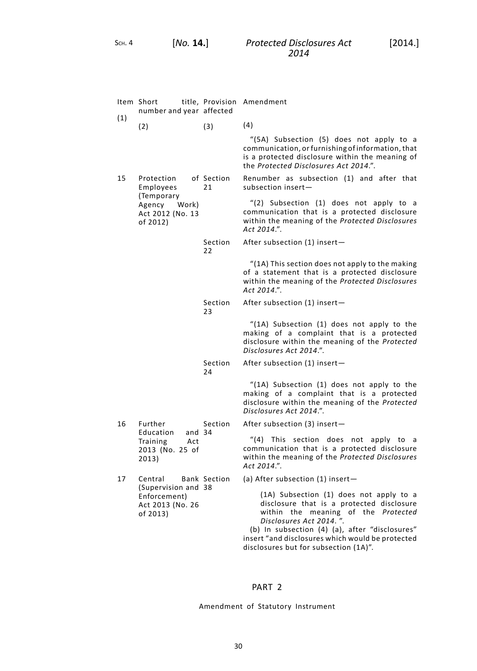|     | Item Short<br>number and year affected                                                |                     | title, Provision Amendment                                                                                                                                                                                                                                                                            |
|-----|---------------------------------------------------------------------------------------|---------------------|-------------------------------------------------------------------------------------------------------------------------------------------------------------------------------------------------------------------------------------------------------------------------------------------------------|
| (1) | (2)                                                                                   | (3)                 | (4)                                                                                                                                                                                                                                                                                                   |
|     |                                                                                       |                     | "(5A) Subsection (5) does not apply to a<br>communication, or furnishing of information, that<br>is a protected disclosure within the meaning of<br>the Protected Disclosures Act 2014.".                                                                                                             |
| 15  | Protection<br>Employees<br>(Temporary<br>Agency Work)<br>Act 2012 (No. 13<br>of 2012) | of Section<br>21    | Renumber as subsection (1) and after that<br>subsection insert-                                                                                                                                                                                                                                       |
|     |                                                                                       |                     | "(2) Subsection (1) does not apply to a<br>communication that is a protected disclosure<br>within the meaning of the Protected Disclosures<br>Act 2014.".                                                                                                                                             |
|     |                                                                                       | Section<br>22       | After subsection (1) insert-                                                                                                                                                                                                                                                                          |
|     |                                                                                       |                     | "(1A) This section does not apply to the making<br>of a statement that is a protected disclosure<br>within the meaning of the Protected Disclosures<br>Act 2014.".                                                                                                                                    |
|     |                                                                                       | Section<br>23       | After subsection (1) insert-                                                                                                                                                                                                                                                                          |
|     |                                                                                       |                     | "(1A) Subsection (1) does not apply to the<br>making of a complaint that is a protected<br>disclosure within the meaning of the Protected<br>Disclosures Act 2014.".                                                                                                                                  |
|     |                                                                                       | Section<br>24       | After subsection (1) insert-                                                                                                                                                                                                                                                                          |
|     |                                                                                       |                     | "(1A) Subsection (1) does not apply to the<br>making of a complaint that is a protected<br>disclosure within the meaning of the Protected<br>Disclosures Act 2014.".                                                                                                                                  |
| 16  | Further                                                                               | Section             | After subsection (3) insert-                                                                                                                                                                                                                                                                          |
|     | Education<br>and $34$<br>Training<br>Act<br>2013 (No. 25 of<br>2013)                  |                     | This section does not<br>$^{\prime\prime}(4)$<br>apply to<br>a<br>communication that is a protected disclosure<br>within the meaning of the Protected Disclosures<br>Act 2014.".                                                                                                                      |
| 17  | Central                                                                               | <b>Bank Section</b> | (a) After subsection (1) insert-                                                                                                                                                                                                                                                                      |
|     | (Supervision and 38<br>Enforcement)<br>Act 2013 (No. 26<br>of 2013)                   |                     | (1A) Subsection (1) does not apply to a<br>disclosure that is a protected disclosure<br>within the meaning of the Protected<br>Disclosures Act 2014.".<br>(b) In subsection (4) (a), after "disclosures"<br>insert "and disclosures which would be protected<br>disclosures but for subsection (1A)". |

# PART 2

Amendment of Statutory Instrument